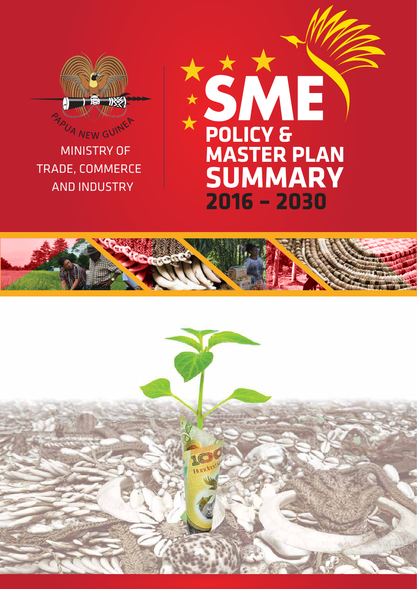

MINISTRY OF TRADE, COMMERCE AND INDUSTRY

# SME POLICY & **SUMMARY**  $2016 - 2030$



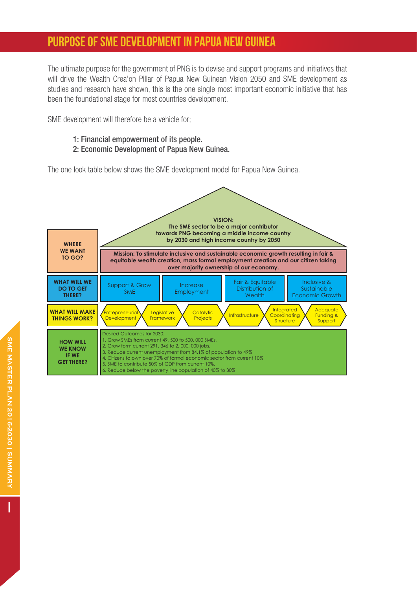## PURPOSE OF SME DEVELOPMENT IN PAPUA NEW GUINEA

The ultimate purpose for the government of PNG is to devise and support programs and initiatives that will drive the Wealth Crea'on Pillar of Papua New Guinean Vision 2050 and SME development as studies and research have shown, this is the one single most important economic initiative that has been the foundational stage for most countries development.

SME development will therefore be a vehicle for;

- 1: Financial empowerment of its people.
- 2: Economic Development of Papua New Guinea.

The one look table below shows the SME development model for Papua New Guinea.



I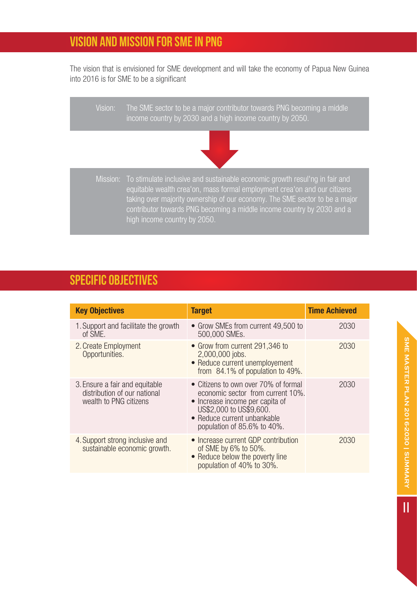# VISION AND MISSION FOR SME IN PNG

The vision that is envisioned for SME development and will take the economy of Papua New Guinea into 2016 is for SME to be a significant

| Vision: | The SME sector to be a major contributor towards PNG becoming a middle<br>income country by 2030 and a high income country by 2050.                                                                                                                                                                                                                        |  |  |
|---------|------------------------------------------------------------------------------------------------------------------------------------------------------------------------------------------------------------------------------------------------------------------------------------------------------------------------------------------------------------|--|--|
|         |                                                                                                                                                                                                                                                                                                                                                            |  |  |
|         | Mission: To stimulate inclusive and sustainable economic growth resul'ng in fair and<br>equitable wealth crea'on, mass formal employment crea'on and our citizens<br>taking over majority ownership of our economy. The SME sector to be a major<br>contributor towards PNG becoming a middle income country by 2030 and a<br>high income country by 2050. |  |  |

## SPECIFIC OBJECTIVES

| <b>Key Objectives</b>                                                                    | <b>Target</b>                                                                                                                                                                                         | <b>Time Achieved</b> |
|------------------------------------------------------------------------------------------|-------------------------------------------------------------------------------------------------------------------------------------------------------------------------------------------------------|----------------------|
| 1. Support and facilitate the growth<br>of SME.                                          | • Grow SMEs from current 49,500 to<br>500,000 SMEs.                                                                                                                                                   | 2030                 |
| 2. Create Employment<br>Opportunities.                                                   | • Grow from current 291,346 to<br>2,000,000 jobs.<br>• Reduce current unemployement<br>from 84.1% of population to 49%.                                                                               | 2030                 |
| 3. Ensure a fair and equitable<br>distribution of our national<br>wealth to PNG citizens | • Citizens to own over 70% of formal<br>economic sector from current 10%.<br>• Increase income per capita of<br>US\$2,000 to US\$9,600.<br>• Reduce current unbankable<br>population of 85.6% to 40%. | 2030                 |
| 4. Support strong inclusive and<br>sustainable economic growth.                          | • Increase current GDP contribution<br>of SME by 6% to 50%.<br>• Reduce below the poverty line<br>population of 40% to 30%.                                                                           | 2030                 |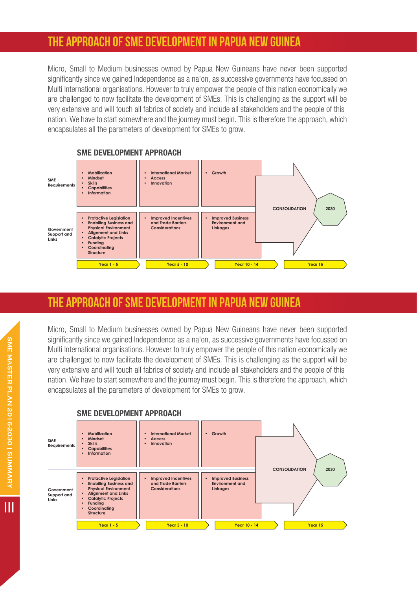## THE APPROACH OF SME DEVELOPMENT IN PAPUA NEW GUINEA

Micro, Small to Medium businesses owned by Papua New Guineans have never been supported significantly since we gained Independence as a na'on, as successive governments have focussed on Multi International organisations. However to truly empower the people of this nation economically we are challenged to now facilitate the development of SMEs. This is challenging as the support will be very extensive and will touch all fabrics of society and include all stakeholders and the people of this nation. We have to start somewhere and the journey must begin. This is therefore the approach, which encapsulates all the parameters of development for SMEs to grow.



## THE APPROACH OF SME DEVELOPMENT IN PAPUA NEW GUINEA

Micro, Small to Medium businesses owned by Papua New Guineans have never been supported significantly since we gained Independence as a na'on, as successive governments have focussed on Multi International organisations. However to truly empower the people of this nation economically we are challenged to now facilitate the development of SMEs. This is challenging as the support will be very extensive and will touch all fabrics of society and include all stakeholders and the people of this nation. We have to start somewhere and the journey must begin. This is therefore the approach, which encapsulates all the parameters of development for SMEs to grow.



#### SME DEVELOPMENT APPROACH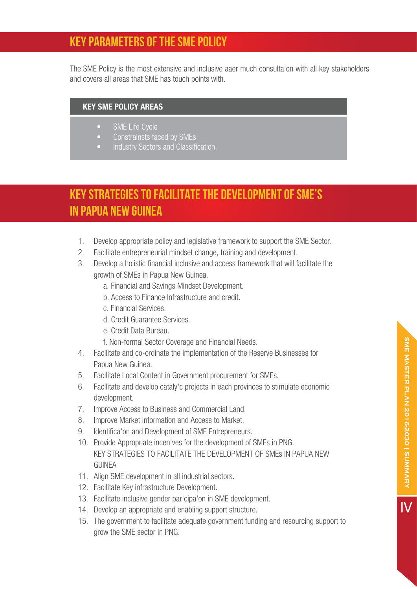## KEY PARAMETERS OF THE SME POLICY

The SME Policy is the most extensive and inclusive aaer much consulta'on with all key stakeholders and covers all areas that SME has touch points with.

#### KEY SME POLICY AREAS

- SME Life Cycle
- Constrainsts faced by SMEs
- Industry Sectors and Classification.

# KEY STRATEGIES TO FACILITATE THE DEVELOPMENT OF SME's IN PAPUA NEW GUINEA

- 1. Develop appropriate policy and legislative framework to support the SME Sector.
- 2. Facilitate entrepreneurial mindset change, training and development.
- 3. Develop a holistic financial inclusive and access framework that will facilitate the growth of SMEs in Papua New Guinea.
	- a. Financial and Savings Mindset Development.
	- b. Access to Finance Infrastructure and credit.
	- c. Financial Services.
	- d. Credit Guarantee Services.
	- e. Credit Data Bureau.
	- f. Non-formal Sector Coverage and Financial Needs.
- 4. Facilitate and co-ordinate the implementation of the Reserve Businesses for Papua New Guinea.
- 5. Facilitate Local Content in Government procurement for SMEs.
- 6. Facilitate and develop cataly'c projects in each provinces to stimulate economic development.
- 7. Improve Access to Business and Commercial Land.
- 8. Improve Market information and Access to Market.
- 9. Identifica'on and Development of SME Entrepreneurs.
- 10. Provide Appropriate incen'ves for the development of SMEs in PNG. KEY STRATEGIES TO FACILITATE THE DEVELOPMENT OF SMEs IN PAPUA NEW **GUINEA**
- 11. Align SME development in all industrial sectors.
- 12. Facilitate Key infrastructure Development.
- 13. Facilitate inclusive gender par'cipa'on in SME development.
- 14. Develop an appropriate and enabling support structure.
- 15. The government to facilitate adequate government funding and resourcing support to grow the SME sector in PNG.

IV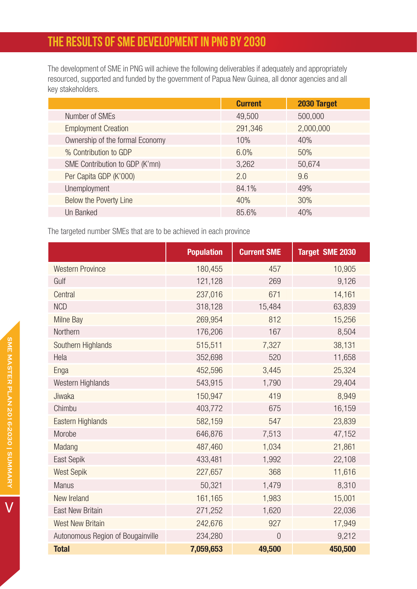# THE RESULTS OF SME DEVELOPMENT IN PNG BY 2030

The development of SME in PNG will achieve the following deliverables if adequately and appropriately resourced, supported and funded by the government of Papua New Guinea, all donor agencies and all key stakeholders.

|                                 | <b>Current</b> | 2030 Target |  |
|---------------------------------|----------------|-------------|--|
| Number of SMEs                  | 49,500         | 500,000     |  |
| <b>Employment Creation</b>      | 291,346        | 2,000,000   |  |
| Ownership of the formal Economy | 10%            | 40%         |  |
| % Contribution to GDP           | 6.0%           | 50%         |  |
| SME Contribution to GDP (K'mn)  | 3,262          | 50,674      |  |
| Per Capita GDP (K'000)          | 2.0            | 9.6         |  |
| Unemployment                    | 84.1%          | 49%         |  |
| Below the Poverty Line          | 40%            | 30%         |  |
| Un Banked                       | 85.6%          | 40%         |  |

The targeted number SMEs that are to be achieved in each province

|                                   | <b>Population</b> | <b>Current SME</b> | <b>Target SME 2030</b> |
|-----------------------------------|-------------------|--------------------|------------------------|
| <b>Western Province</b>           | 180,455           | 457                | 10,905                 |
| Gulf                              | 121,128           | 269                | 9,126                  |
| Central                           | 237,016           | 671                | 14,161                 |
| <b>NCD</b>                        | 318,128           | 15,484             | 63,839                 |
| <b>Milne Bay</b>                  | 269,954           | 812                | 15,256                 |
| Northern                          | 176,206           | 167                | 8,504                  |
| Southern Highlands                | 515,511           | 7,327              | 38,131                 |
| Hela                              | 352,698           | 520                | 11,658                 |
| Enga                              | 452,596           | 3,445              | 25,324                 |
| Western Highlands                 | 543,915           | 1,790              | 29,404                 |
| Jiwaka                            | 150,947           | 419                | 8,949                  |
| Chimbu                            | 403,772           | 675                | 16,159                 |
| Eastern Highlands                 | 582,159           | 547                | 23,839                 |
| Morobe                            | 646,876           | 7,513              | 47,152                 |
| Madang                            | 487,460           | 1,034              | 21,861                 |
| East Sepik                        | 433,481           | 1,992              | 22,108                 |
| <b>West Sepik</b>                 | 227,657           | 368                | 11,616                 |
| <b>Manus</b>                      | 50,321            | 1,479              | 8,310                  |
| New Ireland                       | 161,165           | 1,983              | 15,001                 |
| <b>East New Britain</b>           | 271,252           | 1,620              | 22,036                 |
| <b>West New Britain</b>           | 242,676           | 927                | 17,949                 |
| Autonomous Region of Bougainville | 234,280           | $\overline{0}$     | 9,212                  |
| <b>Total</b>                      | 7,059,653         | 49,500             | 450,500                |

V